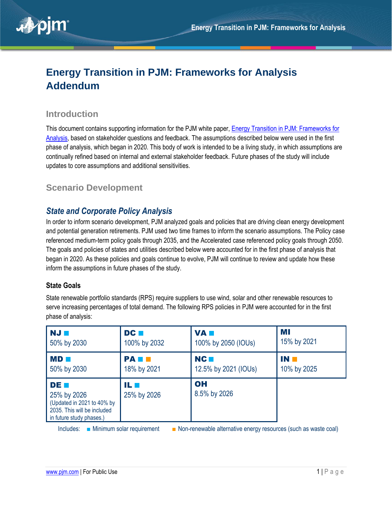

# **Energy Transition in PJM: Frameworks for Analysis Addendum**

### **Introduction**

This document contains supporting information for the PJM white paper, [Energy Transition in PJM: Frameworks for](https://pjm.com/-/media/library/reports-notices/special-reports/2021/20211215-energy-transition-in-pjm-frameworks-for-analysis.ashx)  [Analysis,](https://pjm.com/-/media/library/reports-notices/special-reports/2021/20211215-energy-transition-in-pjm-frameworks-for-analysis.ashx) based on stakeholder questions and feedback. The assumptions described below were used in the first phase of analysis, which began in 2020. This body of work is intended to be a living study, in which assumptions are continually refined based on internal and external stakeholder feedback. Future phases of the study will include updates to core assumptions and additional sensitivities.

## **Scenario Development**

### *State and Corporate Policy Analysis*

In order to inform scenario development, PJM analyzed goals and policies that are driving clean energy development and potential generation retirements. PJM used two time frames to inform the scenario assumptions. The Policy case referenced medium-term policy goals through 2035, and the Accelerated case referenced policy goals through 2050. The goals and policies of states and utilities described below were accounted for in the first phase of analysis that began in 2020. As these policies and goals continue to evolve, PJM will continue to review and update how these inform the assumptions in future phases of the study.

#### **State Goals**

State renewable portfolio standards (RPS) require suppliers to use wind, solar and other renewable resources to serve increasing percentages of total demand. The following RPS policies in PJM were accounted for in the first phase of analysis:

| NJ <b>H</b>                                                                                                         | DC <b>N</b>          | VA <b>n</b>          | MI          |
|---------------------------------------------------------------------------------------------------------------------|----------------------|----------------------|-------------|
| 50% by 2030                                                                                                         | 100% by 2032         | 100% by 2050 (IOUs)  | 15% by 2021 |
| <b>MD</b>                                                                                                           | <b>PAIN</b>          | NC <b>N</b>          | IN T        |
| 50% by 2030                                                                                                         | 18% by 2021          | 12.5% by 2021 (IOUs) | 10% by 2025 |
| <b>DE M</b><br>25% by 2026<br>(Updated in 2021 to 40% by<br>2035. This will be included<br>in future study phases.) | 11. E<br>25% by 2026 | OH<br>8.5% by 2026   |             |

Includes: ■ Minimum solar requirement ■ Non-renewable alternative energy resources (such as waste coal)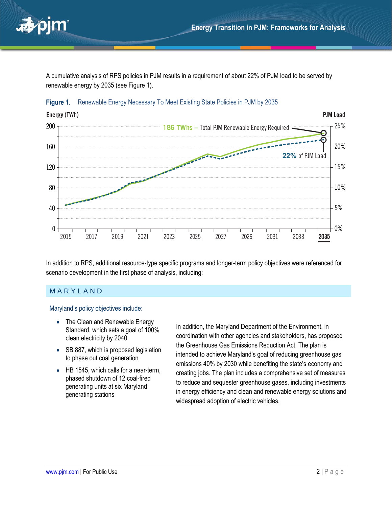

A cumulative analysis of RPS policies in PJM results in a requirement of about 22% of PJM load to be served by renewable energy by 2035 (see [Figure 1\)](#page-1-0).



<span id="page-1-0"></span>

In addition to RPS, additional resource-type specific programs and longer-term policy objectives were referenced for scenario development in the first phase of analysis, including:

#### **MARYLAND**

#### Maryland's policy objectives include:

- The Clean and Renewable Energy Standard, which sets a goal of 100% clean electricity by 2040
- SB 887, which is proposed legislation to phase out coal generation
- HB 1545, which calls for a near-term, phased shutdown of 12 coal-fired generating units at six Maryland generating stations

In addition, the Maryland Department of the Environment, in coordination with other agencies and stakeholders, has proposed the Greenhouse Gas Emissions Reduction Act. The plan is intended to achieve Maryland's goal of reducing greenhouse gas emissions 40% by 2030 while benefiting the state's economy and creating jobs. The plan includes a comprehensive set of measures to reduce and sequester greenhouse gases, including investments in energy efficiency and clean and renewable energy solutions and widespread adoption of electric vehicles.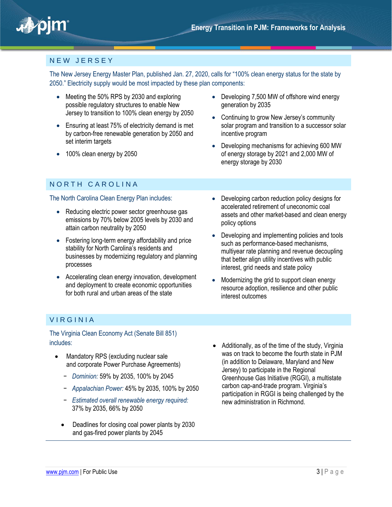

### N E W J E R S E Y

The New Jersey Energy Master Plan, published Jan. 27, 2020, calls for "100% clean energy status for the state by 2050." Electricity supply would be most impacted by these plan components:

- Meeting the 50% RPS by 2030 and exploring possible regulatory structures to enable New Jersey to transition to 100% clean energy by 2050
- Ensuring at least 75% of electricity demand is met by carbon-free renewable generation by 2050 and set interim targets
- 100% clean energy by 2050
- NORTH CAROLINA

#### The North Carolina Clean Energy Plan includes:

- Reducing electric power sector greenhouse gas emissions by 70% below 2005 levels by 2030 and attain carbon neutrality by 2050
- Fostering long-term energy affordability and price stability for North Carolina's residents and businesses by modernizing regulatory and planning processes
- Accelerating clean energy innovation, development and deployment to create economic opportunities for both rural and urban areas of the state
- Developing 7,500 MW of offshore wind energy generation by 2035
- Continuing to grow New Jersey's community solar program and transition to a successor solar incentive program
- Developing mechanisms for achieving 600 MW of energy storage by 2021 and 2,000 MW of energy storage by 2030
- Developing carbon reduction policy designs for accelerated retirement of uneconomic coal assets and other market-based and clean energy policy options
- Developing and implementing policies and tools such as performance-based mechanisms, multiyear rate planning and revenue decoupling that better align utility incentives with public interest, grid needs and state policy
- Modernizing the grid to support clean energy resource adoption, resilience and other public interest outcomes

### V I R G I N I A

The Virginia Clean Economy Act (Senate Bill 851) includes:

- Mandatory RPS (excluding nuclear sale and corporate Power Purchase Agreements)
	- − *Dominion:* 59% by 2035, 100% by 2045
	- − *Appalachian Power:* 45% by 2035, 100% by 2050
	- − *Estimated overall renewable energy required:* 37% by 2035, 66% by 2050
	- Deadlines for closing coal power plants by 2030 and gas-fired power plants by 2045
- Additionally, as of the time of the study, Virginia was on track to become the fourth state in PJM (in addition to Delaware, Maryland and New Jersey) to participate in the Regional Greenhouse Gas Initiative (RGGI), a multistate carbon cap-and-trade program. Virginia's participation in RGGI is being challenged by the new administration in Richmond.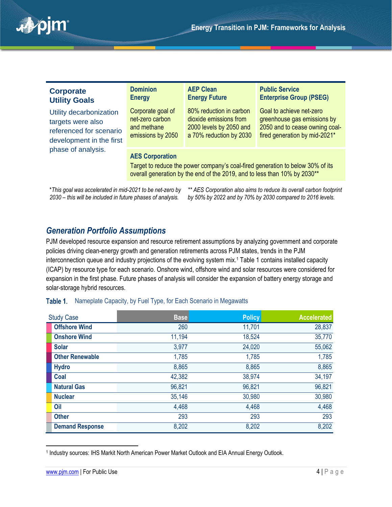

| <b>Corporate</b><br><b>Utility Goals</b>                                                                                  | <b>Dominion</b><br><b>Energy</b>                                                                                                                                                      | <b>AEP Clean</b><br><b>Energy Future</b>                                                                | <b>Public Service</b><br><b>Enterprise Group (PSEG)</b>                                                                    |
|---------------------------------------------------------------------------------------------------------------------------|---------------------------------------------------------------------------------------------------------------------------------------------------------------------------------------|---------------------------------------------------------------------------------------------------------|----------------------------------------------------------------------------------------------------------------------------|
| Utility decarbonization<br>targets were also<br>referenced for scenario<br>development in the first<br>phase of analysis. | Corporate goal of<br>net-zero carbon<br>and methane<br>emissions by 2050                                                                                                              | 80% reduction in carbon<br>dioxide emissions from<br>2000 levels by 2050 and<br>a 70% reduction by 2030 | Goal to achieve net-zero<br>greenhouse gas emissions by<br>2050 and to cease owning coal-<br>fired generation by mid-2021* |
|                                                                                                                           | <b>AES Corporation</b><br>Target to reduce the power company's coal-fired generation to below 30% of its<br>overall generation by the end of the 2019, and to less than 10% by 2030** |                                                                                                         |                                                                                                                            |

\**This goal was accelerated in mid-2021 to be net-zero by 2030 – this will be included in future phases of analysis.*

*\*\* AES Corporation also aims to reduce its overall carbon footprint by 50% by 2022 and by 70% by 2030 compared to 2016 levels.*

### *Generation Portfolio Assumptions*

PJM developed resource expansion and resource retirement assumptions by analyzing government and corporate policies driving clean-energy growth and generation retirements across PJM states, trends in the PJM interconnection queue and industry projections of the evolving system mix.<sup>1</sup> [Table 1](#page-3-0) contains installed capacity (ICAP) by resource type for each scenario. Onshore wind, offshore wind and solar resources were considered for expansion in the first phase. Future phases of analysis will consider the expansion of battery energy storage and solar-storage hybrid resources.

| <b>Study Case</b>      | <b>Base</b> | <b>Policy</b> | <b>Accelerated</b> |
|------------------------|-------------|---------------|--------------------|
| <b>Offshore Wind</b>   | 260         | 11,701        | 28,837             |
| <b>Onshore Wind</b>    | 11,194      | 18,524        | 35,770             |
| <b>Solar</b>           | 3,977       | 24,020        | 55,062             |
| <b>Other Renewable</b> | 1,785       | 1,785         | 1,785              |
| <b>Hydro</b>           | 8,865       | 8,865         | 8,865              |
| Coal                   | 42,382      | 38,974        | 34,197             |
| <b>Natural Gas</b>     | 96,821      | 96,821        | 96,821             |
| <b>Nuclear</b>         | 35,146      | 30,980        | 30,980             |
| Oil                    | 4,468       | 4,468         | 4,468              |
| <b>Other</b>           | 293         | 293           | 293                |
| <b>Demand Response</b> | 8,202       | 8,202         | 8,202              |

#### <span id="page-3-0"></span>Table 1. Nameplate Capacity, by Fuel Type, for Each Scenario in Megawatts

 $\overline{a}$ 

<sup>1</sup> Industry sources: IHS Markit North American Power Market Outlook and EIA Annual Energy Outlook.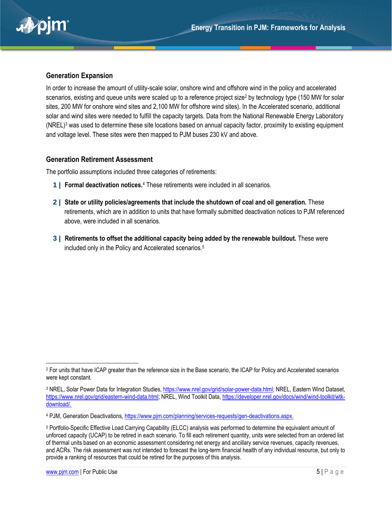

#### **Generation Expansion**

In order to increase the amount of utility-scale solar, onshore wind and offshore wind in the policy and accelerated scenarios, existing and queue units were scaled up to a reference project size<sup>2</sup> by technology type (150 MW for solar sites, 200 MW for onshore wind sites and 2,100 MW for offshore wind sites). In the Accelerated scenario, additional solar and wind sites were needed to fulfill the capacity targets. Data from the National Renewable Energy Laboratory (NREL)<sup>3</sup> was used to determine these site locations based on annual capacity factor, proximity to existing equipment and voltage level. These sites were then mapped to PJM buses 230 kV and above.

#### **Generation Retirement Assessment**

The portfolio assumptions included three categories of retirements:

- **1 | Formal deactivation notices.**<sup>4</sup> These retirements were included in all scenarios.
- **2 | State or utility policies/agreements that include the shutdown of coal and oil generation.** These retirements, which are in addition to units that have formally submitted deactivation notices to PJM referenced above, were included in all scenarios.
- **3 | Retirements to offset the additional capacity being added by the renewable buildout.** These were included only in the Policy and Accelerated scenarios.<sup>5</sup>

 $\overline{\phantom{0}}$ <sup>2</sup> For units that have ICAP greater than the reference size in the Base scenario, the ICAP for Policy and Accelerated scenarios were kept constant.

<sup>3</sup> NREL, Solar Power Data for Integration Studies, [https://www.nrel.gov/grid/solar-power-data.html;](https://www.nrel.gov/grid/solar-power-data.html) NREL, Eastern Wind Dataset, [https://www.nrel.gov/grid/eastern-wind-data.html;](https://www.nrel.gov/grid/eastern-wind-data.html) NREL, Wind Toolkit Data, [https://developer.nrel.gov/docs/wind/wind-toolkit/wtk](https://developer.nrel.gov/docs/wind/wind-toolkit/wtk-download/)[download/.](https://developer.nrel.gov/docs/wind/wind-toolkit/wtk-download/)

<sup>4</sup> PJM, Generation Deactivations, [https://www.pjm.com/planning/services-requests/gen-deactivations.aspx.](https://www.pjm.com/planning/services-requests/gen-deactivations.aspx)

<sup>5</sup> Portfolio-Specific Effective Load Carrying Capability (ELCC) analysis was performed to determine the equivalent amount of unforced capacity (UCAP) to be retired in each scenario. To fill each retirement quantity, units were selected from an ordered list of thermal units based on an economic assessment considering net energy and ancillary service revenues, capacity revenues, and ACRs. The risk assessment was not intended to forecast the long-term financial health of any individual resource, but only to provide a ranking of resources that could be retired for the purposes of this analysis.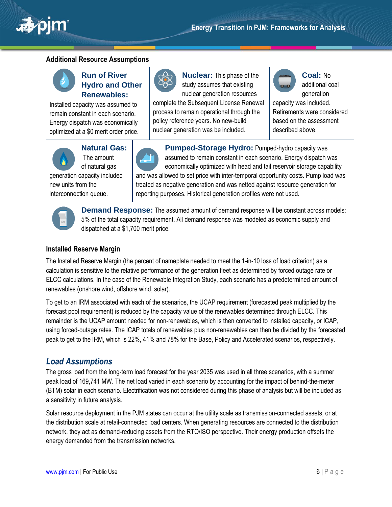

### **Additional Resource Assumptions**



### **Run of River Hydro and Other Renewables:**

Installed capacity was assumed to remain constant in each scenario. Energy dispatch was economically optimized at a \$0 merit order price.



**Nuclear:** This phase of the study assumes that existing nuclear generation resources

complete the Subsequent License Renewal process to remain operational through the policy reference years. No new-build nuclear generation was be included.



**Coal:** No additional coal generation

capacity was included. Retirements were considered based on the assessment described above.



**Natural Gas:** The amount of natural gas

generation capacity included new units from the interconnection queue.

**Pumped-Storage Hydro:** Pumped-hydro capacity was assumed to remain constant in each scenario. Energy dispatch was economically optimized with head and tail reservoir storage capability and was allowed to set price with inter-temporal opportunity costs. Pump load was treated as negative generation and was netted against resource generation for reporting purposes. Historical generation profiles were not used.



**Demand Response:** The assumed amount of demand response will be constant across models: 5% of the total capacity requirement. All demand response was modeled as economic supply and dispatched at a \$1,700 merit price.

### **Installed Reserve Margin**

The Installed Reserve Margin (the percent of nameplate needed to meet the 1-in-10 loss of load criterion) as a calculation is sensitive to the relative performance of the generation fleet as determined by forced outage rate or ELCC calculations. In the case of the Renewable Integration Study, each scenario has a predetermined amount of renewables (onshore wind, offshore wind, solar).

To get to an IRM associated with each of the scenarios, the UCAP requirement (forecasted peak multiplied by the forecast pool requirement) is reduced by the capacity value of the renewables determined through ELCC. This remainder is the UCAP amount needed for non-renewables, which is then converted to installed capacity, or ICAP, using forced-outage rates. The ICAP totals of renewables plus non-renewables can then be divided by the forecasted peak to get to the IRM, which is 22%, 41% and 78% for the Base, Policy and Accelerated scenarios, respectively.

### *Load Assumptions*

The gross load from the long-term load forecast for the year 2035 was used in all three scenarios, with a summer peak load of 169,741 MW. The net load varied in each scenario by accounting for the impact of behind-the-meter (BTM) solar in each scenario. Electrification was not considered during this phase of analysis but will be included as a sensitivity in future analysis.

Solar resource deployment in the PJM states can occur at the utility scale as transmission-connected assets, or at the distribution scale at retail-connected load centers. When generating resources are connected to the distribution network, they act as demand-reducing assets from the RTO/ISO perspective. Their energy production offsets the energy demanded from the transmission networks.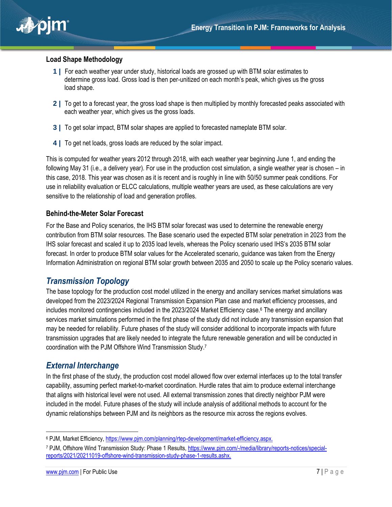

#### **Load Shape Methodology**

- **1 |** For each weather year under study, historical loads are grossed up with BTM solar estimates to determine gross load. Gross load is then per-unitized on each month's peak, which gives us the gross load shape.
- **2 |** To get to a forecast year, the gross load shape is then multiplied by monthly forecasted peaks associated with each weather year, which gives us the gross loads.
- **3 |** To get solar impact, BTM solar shapes are applied to forecasted nameplate BTM solar.
- **4 |** To get net loads, gross loads are reduced by the solar impact.

This is computed for weather years 2012 through 2018, with each weather year beginning June 1, and ending the following May 31 (i.e., a delivery year). For use in the production cost simulation, a single weather year is chosen – in this case, 2018. This year was chosen as it is recent and is roughly in line with 50/50 summer peak conditions. For use in reliability evaluation or ELCC calculations, multiple weather years are used, as these calculations are very sensitive to the relationship of load and generation profiles.

#### **Behind-the-Meter Solar Forecast**

For the Base and Policy scenarios, the IHS BTM solar forecast was used to determine the renewable energy contribution from BTM solar resources. The Base scenario used the expected BTM solar penetration in 2023 from the IHS solar forecast and scaled it up to 2035 load levels, whereas the Policy scenario used IHS's 2035 BTM solar forecast. In order to produce BTM solar values for the Accelerated scenario, guidance was taken from the Energy Information Administration on regional BTM solar growth between 2035 and 2050 to scale up the Policy scenario values.

### *Transmission Topology*

The base topology for the production cost model utilized in the energy and ancillary services market simulations was developed from the 2023/2024 Regional Transmission Expansion Plan case and market efficiency processes, and includes monitored contingencies included in the 2023/2024 Market Efficiency case.<sup>6</sup> The energy and ancillary services market simulations performed in the first phase of the study did not include any transmission expansion that may be needed for reliability. Future phases of the study will consider additional to incorporate impacts with future transmission upgrades that are likely needed to integrate the future renewable generation and will be conducted in coordination with the PJM Offshore Wind Transmission Study. 7

### *External Interchange*

In the first phase of the study, the production cost model allowed flow over external interfaces up to the total transfer capability, assuming perfect market-to-market coordination. Hurdle rates that aim to produce external interchange that aligns with historical level were not used. All external transmission zones that directly neighbor PJM were included in the model. Future phases of the study will include analysis of additional methods to account for the dynamic relationships between PJM and its neighbors as the resource mix across the regions evolves.

 $\overline{a}$ 

<sup>6</sup> PJM, Market Efficiency, [https://www.pjm.com/planning/rtep-development/market-efficiency.aspx.](https://www.pjm.com/planning/rtep-development/market-efficiency.aspx)

<sup>7</sup> PJM, Offshore Wind Transmission Study: Phase 1 Results, [https://www.pjm.com/-/media/library/reports-notices/special](https://www.pjm.com/-/media/library/reports-notices/special-reports/2021/20211019-offshore-wind-transmission-study-phase-1-results.ashx)[reports/2021/20211019-offshore-wind-transmission-study-phase-1-results.ashx.](https://www.pjm.com/-/media/library/reports-notices/special-reports/2021/20211019-offshore-wind-transmission-study-phase-1-results.ashx)